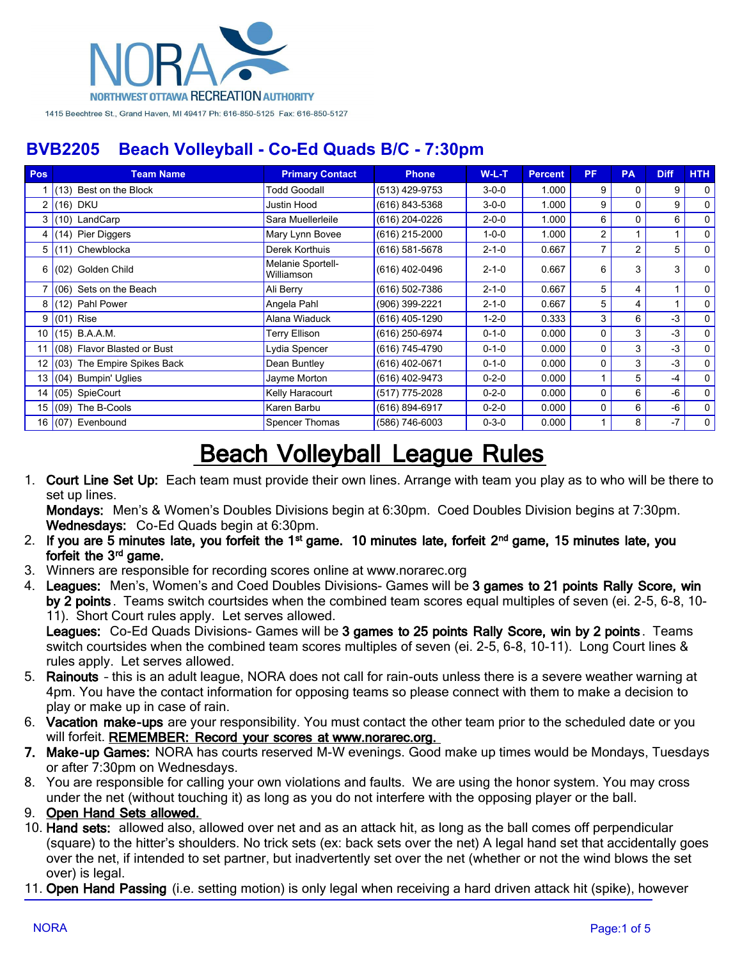

| Pos | <b>Team Name</b>               | <b>Primary Contact</b>          | <b>Phone</b>   | $W-L-T$     | <b>Percent</b> | PF.      | <b>PA</b> | <b>Diff</b> | HTH            |
|-----|--------------------------------|---------------------------------|----------------|-------------|----------------|----------|-----------|-------------|----------------|
|     | $(13)$ Best on the Block       | <b>Todd Goodall</b>             | (513) 429-9753 | $3 - 0 - 0$ | 1.000          | 9        | 0         | 9           | $\mathbf 0$    |
|     | $2 (16)$ DKU                   | Justin Hood                     | (616) 843-5368 | $3 - 0 - 0$ | 1.000          | 9        | $\Omega$  | 9           | $\mathbf{0}$   |
|     | $3(10)$ LandCarp               | Sara Muellerleile               | (616) 204-0226 | $2 - 0 - 0$ | 1.000          | 6        | $\Omega$  | 6           | $\mathbf{0}$   |
| 4   | $(14)$ Pier Diggers            | Mary Lynn Bovee                 | (616) 215-2000 | $1 - 0 - 0$ | 1.000          | 2        |           |             | $\mathbf{0}$   |
|     | 5 (11) Chewblocka              | Derek Korthuis                  | (616) 581-5678 | $2 - 1 - 0$ | 0.667          |          | 2         | 5           | $\mathbf{0}$   |
| 6   | (02) Golden Child              | Melanie Sportell-<br>Williamson | (616) 402-0496 | $2 - 1 - 0$ | 0.667          | 6        | 3         | 3           | 0              |
|     | (06) Sets on the Beach         | Ali Berry                       | (616) 502-7386 | $2 - 1 - 0$ | 0.667          | 5        | 4         |             | $\mathbf{0}$   |
|     | $8$ (12) Pahl Power            | Angela Pahl                     | (906) 399-2221 | $2 - 1 - 0$ | 0.667          | 5        | 4         |             | $\mathbf{0}$   |
|     | $9(01)$ Rise                   | Alana Wiaduck                   | (616) 405-1290 | $1 - 2 - 0$ | 0.333          | 3        | 6         | $-3$        | $\overline{0}$ |
|     | 10 (15) B.A.A.M.               | Terry Ellison                   | (616) 250-6974 | $0 - 1 - 0$ | 0.000          | $\Omega$ | 3         | $-3$        | $\mathbf{0}$   |
|     | 11 (08) Flavor Blasted or Bust | Lydia Spencer                   | (616) 745-4790 | $0 - 1 - 0$ | 0.000          | $\Omega$ | 3         | $-3$        | $\mathbf{0}$   |
|     | 12 (03) The Empire Spikes Back | Dean Buntley                    | (616) 402-0671 | $0 - 1 - 0$ | 0.000          | $\Omega$ | 3         | $-3$        | $\mathbf{0}$   |
|     | 13 (04) Bumpin' Uglies         | Jayme Morton                    | (616) 402-9473 | $0 - 2 - 0$ | 0.000          |          | 5         | $-4$        | $\mathbf{0}$   |
| 14  | $(05)$ SpieCourt               | Kelly Haracourt                 | (517) 775-2028 | $0 - 2 - 0$ | 0.000          | $\Omega$ | 6         | -6          | $\mathbf 0$    |
|     | 15 $(09)$ The B-Cools          | Karen Barbu                     | (616) 894-6917 | $0 - 2 - 0$ | 0.000          | $\Omega$ | 6         | -6          | $\mathbf{0}$   |
|     | 16 (07) Evenbound              | Spencer Thomas                  | (586) 746-6003 | $0 - 3 - 0$ | 0.000          |          | 8         | $-7$        | 0              |

# **Beach Volleyball League Rules**

1. **Court Line Set Up:** Each team must provide their own lines. Arrange with team you play as to who will be there to set up lines.

**Mondays:** Men's & Women's Doubles Divisions begin at 6:30pm. Coed Doubles Division begins at 7:30pm. **Wednesdays:** Co-Ed Quads begin at 6:30pm.

- 2. If you are 5 minutes late, you forfeit the 1<sup>st</sup> game. 10 minutes late, forfeit 2<sup>nd</sup> game, 15 minutes late, you forfeit the 3<sup>rd</sup> game.
- 3. Winners are responsible for recording scores online at www.norarec.org
- 4. **Leagues:** Men's, Women's and Coed Doubles Divisions- Games will be **3 games to 21 points Rally Score, win by 2 points** . Teams switch courtsides when the combined team scores equal multiples of seven (ei. 2-5, 6-8, 10- 11). Short Court rules apply. Let serves allowed.

**Leagues:** Co-Ed Quads Divisions- Games will be **3 games to 25 points Rally Score, win by 2 points** . Teams switch courtsides when the combined team scores multiples of seven (ei. 2-5, 6-8, 10-11). Long Court lines & rules apply. Let serves allowed.

- 5. **Rainouts** this is an adult league, NORA does not call for rain-outs unless there is a severe weather warning at 4pm. You have the contact information for opposing teams so please connect with them to make a decision to play or make up in case of rain.
- 6. **Vacation make-ups** are your responsibility. You must contact the other team prior to the scheduled date or you will forfeit. **REMEMBER: Record your scores at www.norarec.org.**
- **7. Make-up Games:** NORA has courts reserved M-W evenings. Good make up times would be Mondays, Tuesdays or after 7:30pm on Wednesdays.
- 8. You are responsible for calling your own violations and faults. We are using the honor system. You may cross under the net (without touching it) as long as you do not interfere with the opposing player or the ball.
- 9. **Open Hand Sets allowed.**
- 10. **Hand sets:** allowed also, allowed over net and as an attack hit, as long as the ball comes off perpendicular (square) to the hitter's shoulders. No trick sets (ex: back sets over the net) A legal hand set that accidentally goes over the net, if intended to set partner, but inadvertently set over the net (whether or not the wind blows the set over) is legal.
- 11. **Open Hand Passing** (i.e. setting motion) is only legal when receiving a hard driven attack hit (spike), however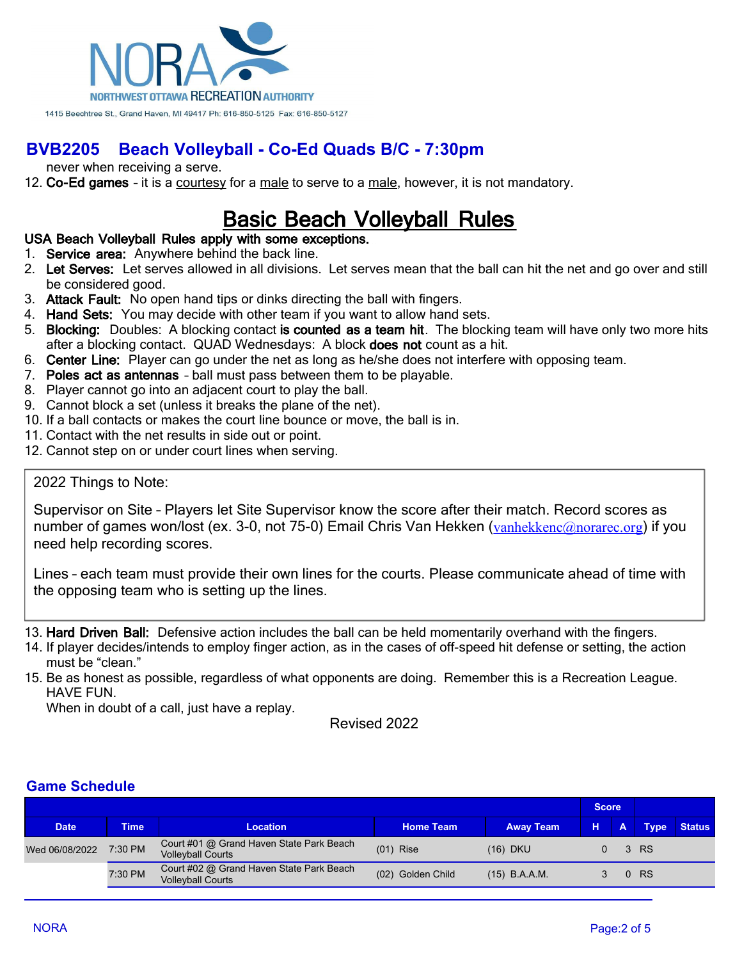

never when receiving a serve.

12. **Co-Ed games** – it is a courtesy for a male to serve to a male, however, it is not mandatory.

# **Basic Beach Volleyball Rules**

#### **USA Beach Volleyball Rules apply with some exceptions.**

- 1. **Service area:** Anywhere behind the back line.
- 2. **Let Serves:** Let serves allowed in all divisions. Let serves mean that the ball can hit the net and go over and still be considered good.
- 3. **Attack Fault:** No open hand tips or dinks directing the ball with fingers.
- 4. **Hand Sets:** You may decide with other team if you want to allow hand sets.
- 5. **Blocking:** Doubles: A blocking contact **is counted as a team hit**. The blocking team will have only two more hits after a blocking contact. QUAD Wednesdays: A block **does not** count as a hit.
- 6. **Center Line:** Player can go under the net as long as he/she does not interfere with opposing team.
- 7. **Poles act as antennas** ball must pass between them to be playable.
- 8. Player cannot go into an adjacent court to play the ball.
- 9. Cannot block a set (unless it breaks the plane of the net).
- 10. If a ball contacts or makes the court line bounce or move, the ball is in.
- 11. Contact with the net results in side out or point.
- 12. Cannot step on or under court lines when serving.

#### 2022 Things to Note:

Supervisor on Site – Players let Site Supervisor know the score after their match. Record scores as number of games won/lost (ex. 3-0, not 75-0) Email Chris Van Hekken ([vanhekkenc@norarec.org](mailto:vanhekkenc@norarec.org)) if you need help recording scores.

Lines – each team must provide their own lines for the courts. Please communicate ahead of time with the opposing team who is setting up the lines.

13. **Hard Driven Ball:** Defensive action includes the ball can be held momentarily overhand with the fingers.

14. If player decides/intends to employ finger action, as in the cases of off-speed hit defense or setting, the action must be "clean."

15. Be as honest as possible, regardless of what opponents are doing. Remember this is a Recreation League. HAVE FUN.

When in doubt of a call, just have a replay.

Revised 2022

### **Game Schedule**

|                |             |                                                                      |                   |                  | <b>Score</b> |          |             |               |
|----------------|-------------|----------------------------------------------------------------------|-------------------|------------------|--------------|----------|-------------|---------------|
| <b>Date</b>    | <b>Time</b> | <b>Location</b>                                                      | <b>Home Team</b>  | <b>Away Team</b> | н.           |          | <b>Type</b> | <b>Status</b> |
| Wed 06/08/2022 | 7:30 PM     | Court #01 @ Grand Haven State Park Beach<br><b>Volleyball Courts</b> | $(01)$ Rise       | (16) DKU         |              |          | 3 RS        |               |
|                | 7:30 PM     | Court #02 @ Grand Haven State Park Beach<br><b>Volleyball Courts</b> | (02) Golden Child | $(15)$ B.A.A.M.  |              | $\Omega$ | <b>RS</b>   |               |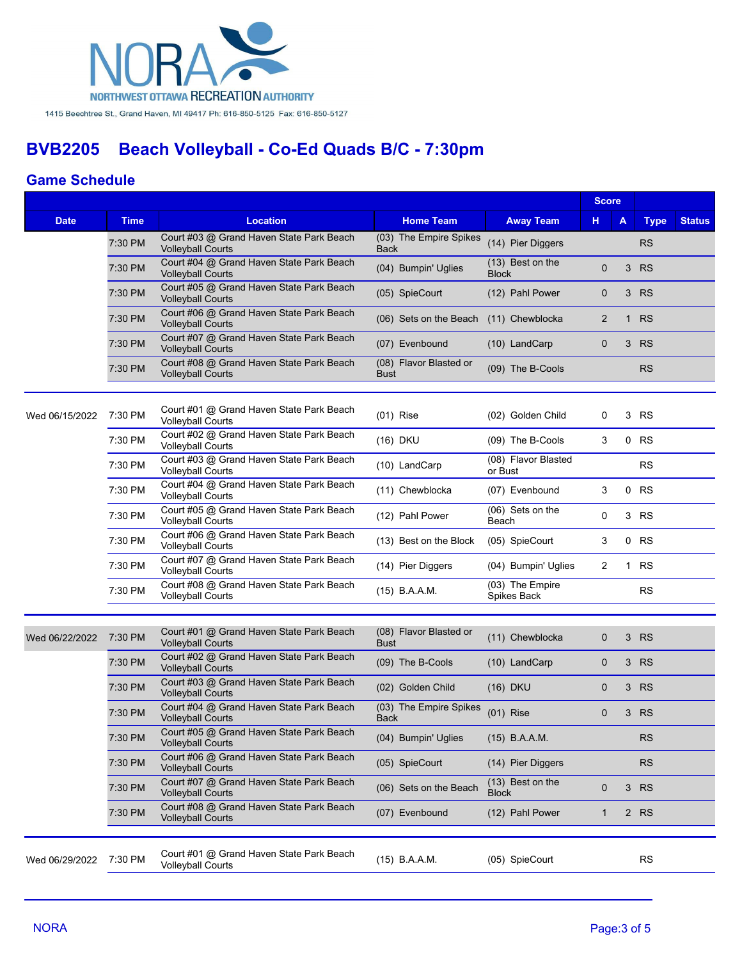

### **Game Schedule**

|                |             |                                                                      |                                       |                                    | <b>Score</b>   |             |             |               |
|----------------|-------------|----------------------------------------------------------------------|---------------------------------------|------------------------------------|----------------|-------------|-------------|---------------|
| <b>Date</b>    | <b>Time</b> | Location                                                             | <b>Home Team</b>                      | <b>Away Team</b>                   | н.             | A           | <b>Type</b> | <b>Status</b> |
|                | 7:30 PM     | Court #03 @ Grand Haven State Park Beach<br><b>Volleyball Courts</b> | (03) The Empire Spikes<br><b>Back</b> | (14) Pier Diggers                  |                |             | <b>RS</b>   |               |
|                | 7:30 PM     | Court #04 @ Grand Haven State Park Beach<br><b>Volleyball Courts</b> | (04) Bumpin' Uglies                   | (13) Best on the<br><b>Block</b>   | 0              | 3           | <b>RS</b>   |               |
|                | 7:30 PM     | Court #05 @ Grand Haven State Park Beach<br><b>Volleyball Courts</b> | (05) SpieCourt                        | (12) Pahl Power                    | 0              |             | 3 RS        |               |
|                | 7:30 PM     | Court #06 @ Grand Haven State Park Beach<br><b>Volleyball Courts</b> | (06) Sets on the Beach                | (11) Chewblocka                    | $\overline{2}$ |             | 1 RS        |               |
|                | 7:30 PM     | Court #07 @ Grand Haven State Park Beach<br><b>Volleyball Courts</b> | (07) Evenbound                        | (10) LandCarp                      | 0              | 3           | <b>RS</b>   |               |
|                | 7:30 PM     | Court #08 @ Grand Haven State Park Beach<br><b>Volleyball Courts</b> | (08) Flavor Blasted or<br>Bust        | (09) The B-Cools                   |                |             | <b>RS</b>   |               |
|                |             |                                                                      |                                       |                                    |                |             |             |               |
| Wed 06/15/2022 | 7:30 PM     | Court #01 @ Grand Haven State Park Beach<br><b>Volleyball Courts</b> | $(01)$ Rise                           | (02) Golden Child                  | 0              | 3           | RS          |               |
|                | 7:30 PM     | Court #02 @ Grand Haven State Park Beach<br><b>Volleyball Courts</b> | (16) DKU                              | (09) The B-Cools                   | 3              |             | $0$ RS      |               |
|                | 7:30 PM     | Court #03 @ Grand Haven State Park Beach<br><b>Volleyball Courts</b> | (10) LandCarp                         | (08) Flavor Blasted<br>or Bust     |                |             | <b>RS</b>   |               |
|                | 7:30 PM     | Court #04 @ Grand Haven State Park Beach<br><b>Volleyball Courts</b> | (11) Chewblocka                       | (07) Evenbound                     | 3              |             | 0 RS        |               |
|                | 7:30 PM     | Court #05 @ Grand Haven State Park Beach<br><b>Volleyball Courts</b> | (12) Pahl Power                       | (06) Sets on the<br>Beach          | 0              |             | 3 RS        |               |
|                | 7:30 PM     | Court #06 @ Grand Haven State Park Beach<br><b>Volleyball Courts</b> | (13) Best on the Block                | (05) SpieCourt                     | 3              |             | 0 RS        |               |
|                | 7:30 PM     | Court #07 @ Grand Haven State Park Beach<br><b>Volleyball Courts</b> | (14) Pier Diggers                     | (04) Bumpin' Uglies                | 2              | $\mathbf 1$ | <b>RS</b>   |               |
|                | 7:30 PM     | Court #08 @ Grand Haven State Park Beach<br><b>Volleyball Courts</b> | (15) B.A.A.M.                         | (03) The Empire<br>Spikes Back     |                |             | <b>RS</b>   |               |
|                |             |                                                                      |                                       |                                    |                |             |             |               |
| Wed 06/22/2022 | 7:30 PM     | Court #01 @ Grand Haven State Park Beach<br><b>Volleyball Courts</b> | (08) Flavor Blasted or<br><b>Bust</b> | (11) Chewblocka                    | 0              |             | 3 RS        |               |
|                | 7:30 PM     | Court #02 @ Grand Haven State Park Beach<br><b>Volleyball Courts</b> | (09) The B-Cools                      | (10) LandCarp                      | $\mathbf 0$    | 3           | <b>RS</b>   |               |
|                | 7:30 PM     | Court #03 @ Grand Haven State Park Beach<br><b>Volleyball Courts</b> | (02) Golden Child                     | (16) DKU                           | 0              | 3           | <b>RS</b>   |               |
|                | 7:30 PM     | Court #04 @ Grand Haven State Park Beach<br><b>Volleyball Courts</b> | (03) The Empire Spikes<br><b>Back</b> | $(01)$ Rise                        | $\mathbf 0$    |             | 3 RS        |               |
|                | 7:30 PM     | Court #05 @ Grand Haven State Park Beach<br><b>Volleyball Courts</b> | (04) Bumpin' Uglies                   | (15) B.A.A.M.                      |                |             | <b>RS</b>   |               |
|                | 7:30 PM     | Court #06 @ Grand Haven State Park Beach<br><b>Volleyball Courts</b> | (05) SpieCourt                        | (14) Pier Diggers                  |                |             | <b>RS</b>   |               |
|                | 7:30 PM     | Court #07 @ Grand Haven State Park Beach<br><b>Volleyball Courts</b> | (06) Sets on the Beach                | $(13)$ Best on the<br><b>Block</b> | $\mathbf 0$    | 3           | <b>RS</b>   |               |
|                | 7:30 PM     | Court #08 @ Grand Haven State Park Beach<br><b>Volleyball Courts</b> | (07) Evenbound                        | (12) Pahl Power                    | 1              |             | 2 RS        |               |
|                |             |                                                                      |                                       |                                    |                |             |             |               |
| Wed 06/29/2022 | 7:30 PM     | Court #01 @ Grand Haven State Park Beach<br><b>Volleyball Courts</b> | (15) B.A.A.M.                         | (05) SpieCourt                     |                |             | <b>RS</b>   |               |
|                |             |                                                                      |                                       |                                    |                |             |             |               |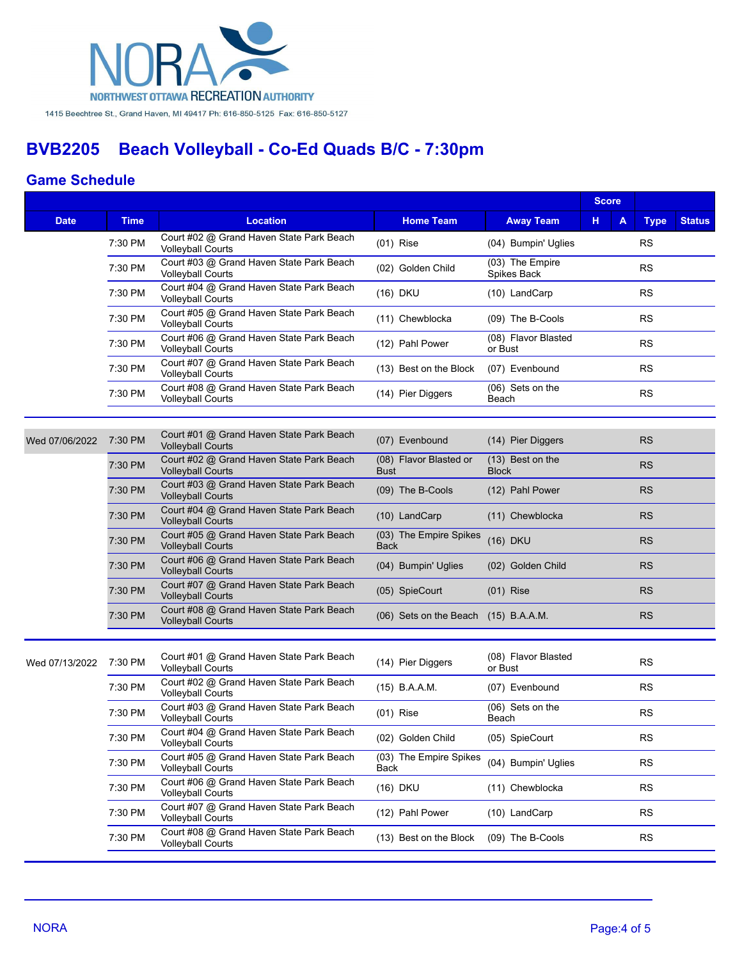

### **Game Schedule**

|                |             |                                                                      |                                       |                                  | <b>Score</b> |             |               |  |
|----------------|-------------|----------------------------------------------------------------------|---------------------------------------|----------------------------------|--------------|-------------|---------------|--|
| <b>Date</b>    | <b>Time</b> | <b>Location</b>                                                      | <b>Home Team</b>                      | <b>Away Team</b>                 | н.<br>А      | <b>Type</b> | <b>Status</b> |  |
|                | 7:30 PM     | Court #02 @ Grand Haven State Park Beach<br><b>Volleyball Courts</b> | $(01)$ Rise                           | (04) Bumpin' Uglies              |              | <b>RS</b>   |               |  |
|                | 7:30 PM     | Court #03 @ Grand Haven State Park Beach<br><b>Volleyball Courts</b> | (02) Golden Child                     | (03) The Empire<br>Spikes Back   |              | <b>RS</b>   |               |  |
|                | 7:30 PM     | Court #04 @ Grand Haven State Park Beach<br><b>Volleyball Courts</b> | (16) DKU                              | (10) LandCarp                    |              | <b>RS</b>   |               |  |
|                | 7:30 PM     | Court #05 @ Grand Haven State Park Beach<br><b>Volleyball Courts</b> | (11) Chewblocka                       | (09) The B-Cools                 |              | <b>RS</b>   |               |  |
|                | 7:30 PM     | Court #06 @ Grand Haven State Park Beach<br><b>Volleyball Courts</b> | (12) Pahl Power                       | (08) Flavor Blasted<br>or Bust   |              | <b>RS</b>   |               |  |
|                | 7:30 PM     | Court #07 @ Grand Haven State Park Beach<br><b>Volleyball Courts</b> | (13) Best on the Block                | (07) Evenbound                   |              | <b>RS</b>   |               |  |
|                | 7:30 PM     | Court #08 @ Grand Haven State Park Beach<br>Volleyball Courts        | (14) Pier Diggers                     | (06) Sets on the<br>Beach        |              | <b>RS</b>   |               |  |
|                |             |                                                                      |                                       |                                  |              |             |               |  |
| Wed 07/06/2022 | 7:30 PM     | Court #01 @ Grand Haven State Park Beach<br><b>Volleyball Courts</b> | (07) Evenbound                        | (14) Pier Diggers                |              | <b>RS</b>   |               |  |
|                | 7:30 PM     | Court #02 @ Grand Haven State Park Beach<br><b>Volleyball Courts</b> | (08) Flavor Blasted or<br><b>Bust</b> | (13) Best on the<br><b>Block</b> |              | <b>RS</b>   |               |  |
|                | 7:30 PM     | Court #03 @ Grand Haven State Park Beach<br><b>Volleyball Courts</b> | (09) The B-Cools                      | (12) Pahl Power                  |              | <b>RS</b>   |               |  |
|                | 7:30 PM     | Court #04 @ Grand Haven State Park Beach<br><b>Volleyball Courts</b> | (10) LandCarp                         | (11) Chewblocka                  |              | <b>RS</b>   |               |  |
|                | 7:30 PM     | Court #05 @ Grand Haven State Park Beach<br><b>Volleyball Courts</b> | (03) The Empire Spikes<br><b>Back</b> | (16) DKU                         |              | <b>RS</b>   |               |  |
|                | 7:30 PM     | Court #06 @ Grand Haven State Park Beach<br><b>Volleyball Courts</b> | (04) Bumpin' Uglies                   | (02) Golden Child                |              | <b>RS</b>   |               |  |
|                | 7:30 PM     | Court #07 @ Grand Haven State Park Beach<br><b>Volleyball Courts</b> | (05) SpieCourt                        | $(01)$ Rise                      |              | <b>RS</b>   |               |  |
|                | 7:30 PM     | Court #08 @ Grand Haven State Park Beach<br><b>Volleyball Courts</b> | (06) Sets on the Beach (15) B.A.A.M.  |                                  |              | <b>RS</b>   |               |  |
|                |             |                                                                      |                                       |                                  |              |             |               |  |
| Wed 07/13/2022 | 7:30 PM     | Court #01 @ Grand Haven State Park Beach<br><b>Volleyball Courts</b> | (14) Pier Diggers                     | (08) Flavor Blasted<br>or Bust   |              | <b>RS</b>   |               |  |
|                | 7:30 PM     | Court #02 @ Grand Haven State Park Beach<br><b>Volleyball Courts</b> | $(15)$ B.A.A.M.                       | (07) Evenbound                   |              | <b>RS</b>   |               |  |
|                | 7:30 PM     | Court #03 @ Grand Haven State Park Beach<br><b>Volleyball Courts</b> | $(01)$ Rise                           | (06) Sets on the<br>Beach        |              | <b>RS</b>   |               |  |
|                | 7:30 PM     | Court #04 @ Grand Haven State Park Beach<br><b>Volleyball Courts</b> | (02) Golden Child                     | (05) SpieCourt                   |              | <b>RS</b>   |               |  |
|                | 7:30 PM     | Court #05 @ Grand Haven State Park Beach<br><b>Volleyball Courts</b> | (03) The Empire Spikes<br>Back        | (04) Bumpin' Uglies              |              | <b>RS</b>   |               |  |
|                | 7:30 PM     | Court #06 @ Grand Haven State Park Beach<br><b>Volleyball Courts</b> | (16) DKU                              | (11) Chewblocka                  |              | <b>RS</b>   |               |  |
|                | 7:30 PM     | Court #07 @ Grand Haven State Park Beach<br><b>Volleyball Courts</b> | (12) Pahl Power                       | (10) LandCarp                    |              | <b>RS</b>   |               |  |
|                | 7:30 PM     | Court #08 @ Grand Haven State Park Beach<br><b>Volleyball Courts</b> | (13) Best on the Block                | (09) The B-Cools                 |              | <b>RS</b>   |               |  |